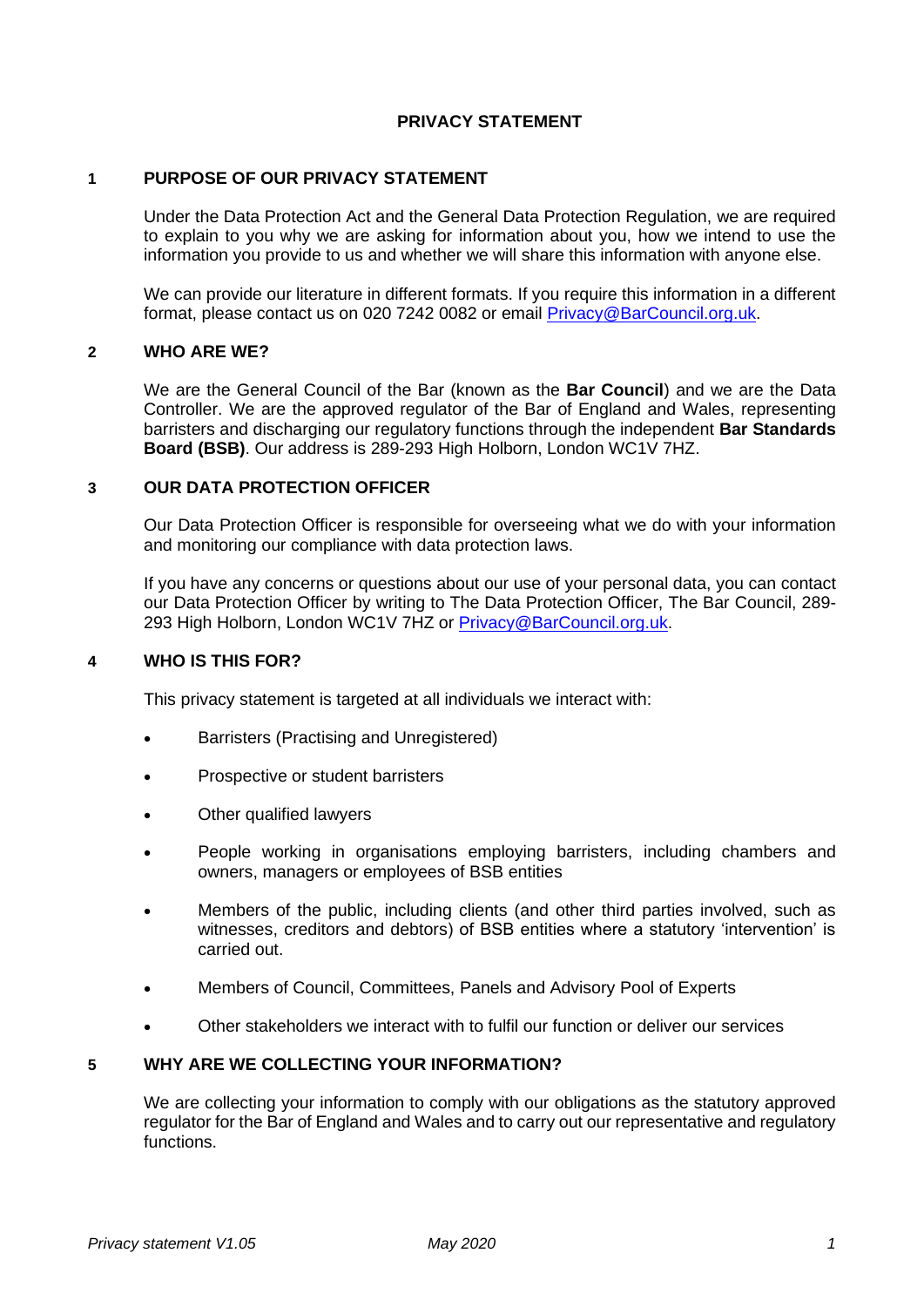### **PRIVACY STATEMENT**

### **1 PURPOSE OF OUR PRIVACY STATEMENT**

Under the Data Protection Act and the General Data Protection Regulation, we are required to explain to you why we are asking for information about you, how we intend to use the information you provide to us and whether we will share this information with anyone else.

We can provide our literature in different formats. If you require this information in a different format, please contact us on 020 7242 0082 or email [Privacy@BarCouncil.org.uk.](mailto:Privacy@BarCouncil.org.uk)

### **2 WHO ARE WE?**

We are the General Council of the Bar (known as the **Bar Council**) and we are the Data Controller. We are the approved regulator of the Bar of England and Wales, representing barristers and discharging our regulatory functions through the independent **Bar Standards Board (BSB)**. Our address is 289-293 High Holborn, London WC1V 7HZ.

## **3 OUR DATA PROTECTION OFFICER**

Our Data Protection Officer is responsible for overseeing what we do with your information and monitoring our compliance with data protection laws.

If you have any concerns or questions about our use of your personal data, you can contact our Data Protection Officer by writing to The Data Protection Officer, The Bar Council, 289- 293 High Holborn, London WC1V 7HZ or [Privacy@BarCouncil.org.uk.](mailto:Privacy@BarCouncil.org.uk)

## **4 WHO IS THIS FOR?**

This privacy statement is targeted at all individuals we interact with:

- Barristers (Practising and Unregistered)
- Prospective or student barristers
- Other qualified lawyers
- People working in organisations employing barristers, including chambers and owners, managers or employees of BSB entities
- Members of the public, including clients (and other third parties involved, such as witnesses, creditors and debtors) of BSB entities where a statutory 'intervention' is carried out.
- Members of Council, Committees, Panels and Advisory Pool of Experts
- Other stakeholders we interact with to fulfil our function or deliver our services

## **5 WHY ARE WE COLLECTING YOUR INFORMATION?**

We are collecting your information to comply with our obligations as the statutory approved regulator for the Bar of England and Wales and to carry out our representative and regulatory functions.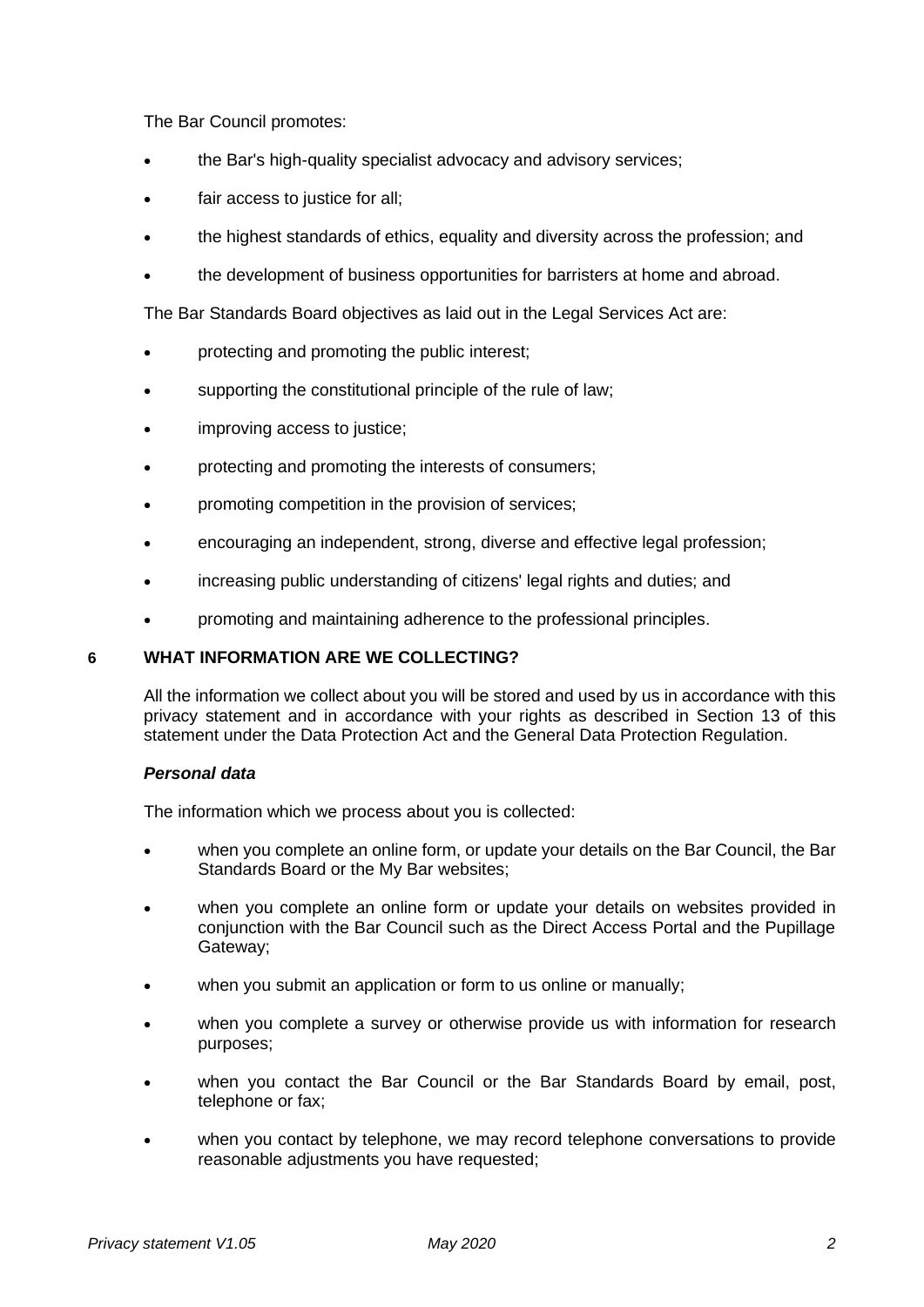The Bar Council promotes:

- the Bar's high-quality specialist advocacy and advisory services;
- fair access to justice for all;
- the highest standards of ethics, equality and diversity across the profession; and
- the development of business opportunities for barristers at home and abroad.

The Bar Standards Board objectives as laid out in the Legal Services Act are:

- protecting and promoting the public interest;
- supporting the constitutional principle of the rule of law;
- improving access to justice;
- protecting and promoting the interests of consumers;
- promoting competition in the provision of services;
- encouraging an independent, strong, diverse and effective legal profession;
- increasing public understanding of citizens' legal rights and duties; and
- promoting and maintaining adherence to the professional principles.

## **6 WHAT INFORMATION ARE WE COLLECTING?**

All the information we collect about you will be stored and used by us in accordance with this privacy statement and in accordance with your rights as described in Section 13 of this statement under the Data Protection Act and the General Data Protection Regulation.

## *Personal data*

The information which we process about you is collected:

- when you complete an online form, or update your details on the Bar Council, the Bar Standards Board or the My Bar websites;
- when you complete an online form or update your details on websites provided in conjunction with the Bar Council such as the Direct Access Portal and the Pupillage Gateway;
- when you submit an application or form to us online or manually;
- when you complete a survey or otherwise provide us with information for research purposes;
- when you contact the Bar Council or the Bar Standards Board by email, post, telephone or fax;
- when you contact by telephone, we may record telephone conversations to provide reasonable adjustments you have requested;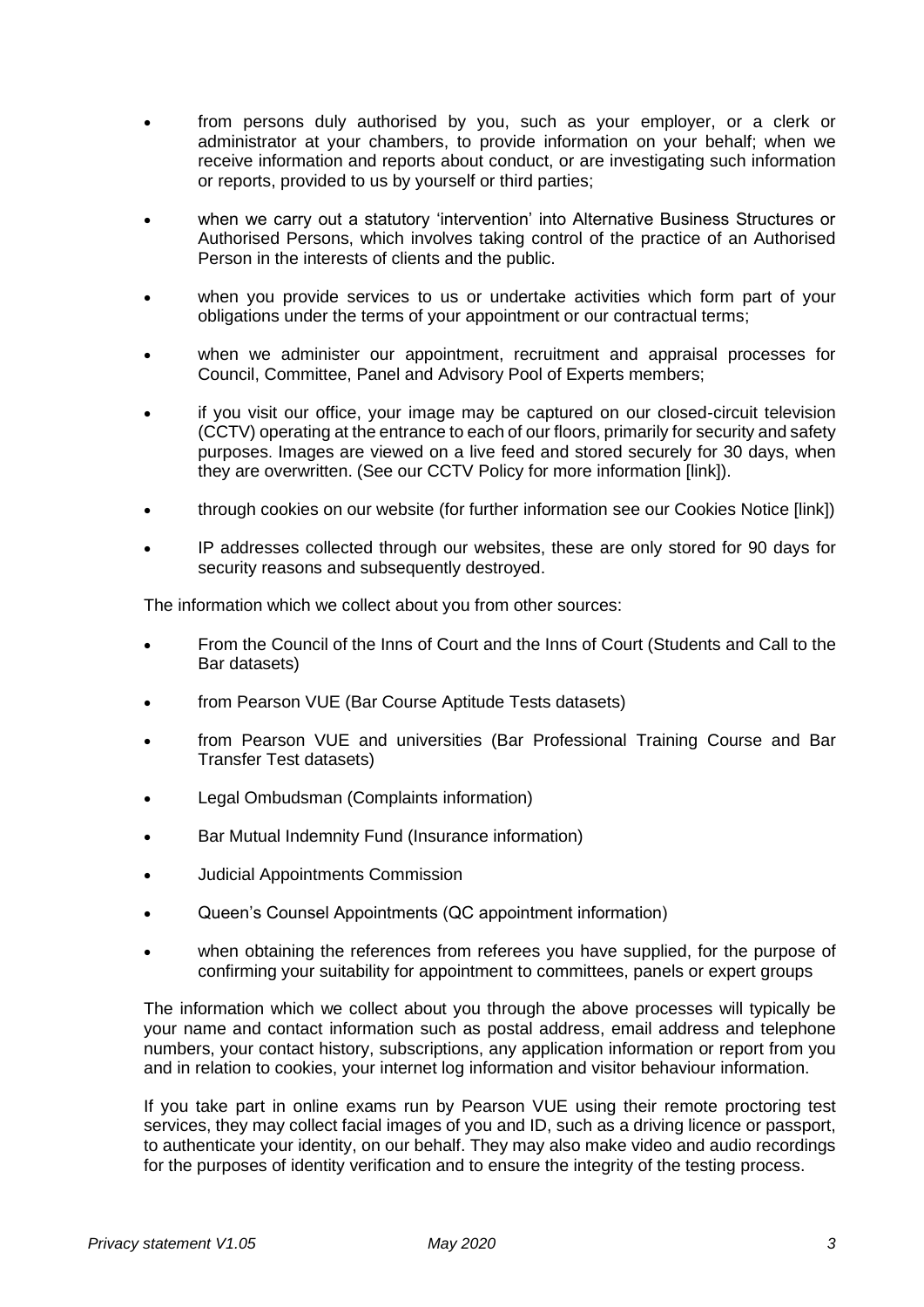- from persons duly authorised by you, such as your employer, or a clerk or administrator at your chambers, to provide information on your behalf; when we receive information and reports about conduct, or are investigating such information or reports, provided to us by yourself or third parties;
- when we carry out a statutory 'intervention' into Alternative Business Structures or Authorised Persons, which involves taking control of the practice of an Authorised Person in the interests of clients and the public.
- when you provide services to us or undertake activities which form part of your obligations under the terms of your appointment or our contractual terms;
- when we administer our appointment, recruitment and appraisal processes for Council, Committee, Panel and Advisory Pool of Experts members;
- if you visit our office, your image may be captured on our closed-circuit television (CCTV) operating at the entrance to each of our floors, primarily for security and safety purposes. Images are viewed on a live feed and stored securely for 30 days, when they are overwritten. (See our CCTV Policy for more information [link]).
- through cookies on our website (for further information see our Cookies Notice [link])
- IP addresses collected through our websites, these are only stored for 90 days for security reasons and subsequently destroyed.

The information which we collect about you from other sources:

- From the Council of the Inns of Court and the Inns of Court (Students and Call to the Bar datasets)
- from Pearson VUE (Bar Course Aptitude Tests datasets)
- from Pearson VUE and universities (Bar Professional Training Course and Bar Transfer Test datasets)
- Legal Ombudsman (Complaints information)
- Bar Mutual Indemnity Fund (Insurance information)
- Judicial Appointments Commission
- Queen's Counsel Appointments (QC appointment information)
- when obtaining the references from referees you have supplied, for the purpose of confirming your suitability for appointment to committees, panels or expert groups

The information which we collect about you through the above processes will typically be your name and contact information such as postal address, email address and telephone numbers, your contact history, subscriptions, any application information or report from you and in relation to cookies, your internet log information and visitor behaviour information.

If you take part in online exams run by Pearson VUE using their remote proctoring test services, they may collect facial images of you and ID, such as a driving licence or passport, to authenticate your identity, on our behalf. They may also make video and audio recordings for the purposes of identity verification and to ensure the integrity of the testing process.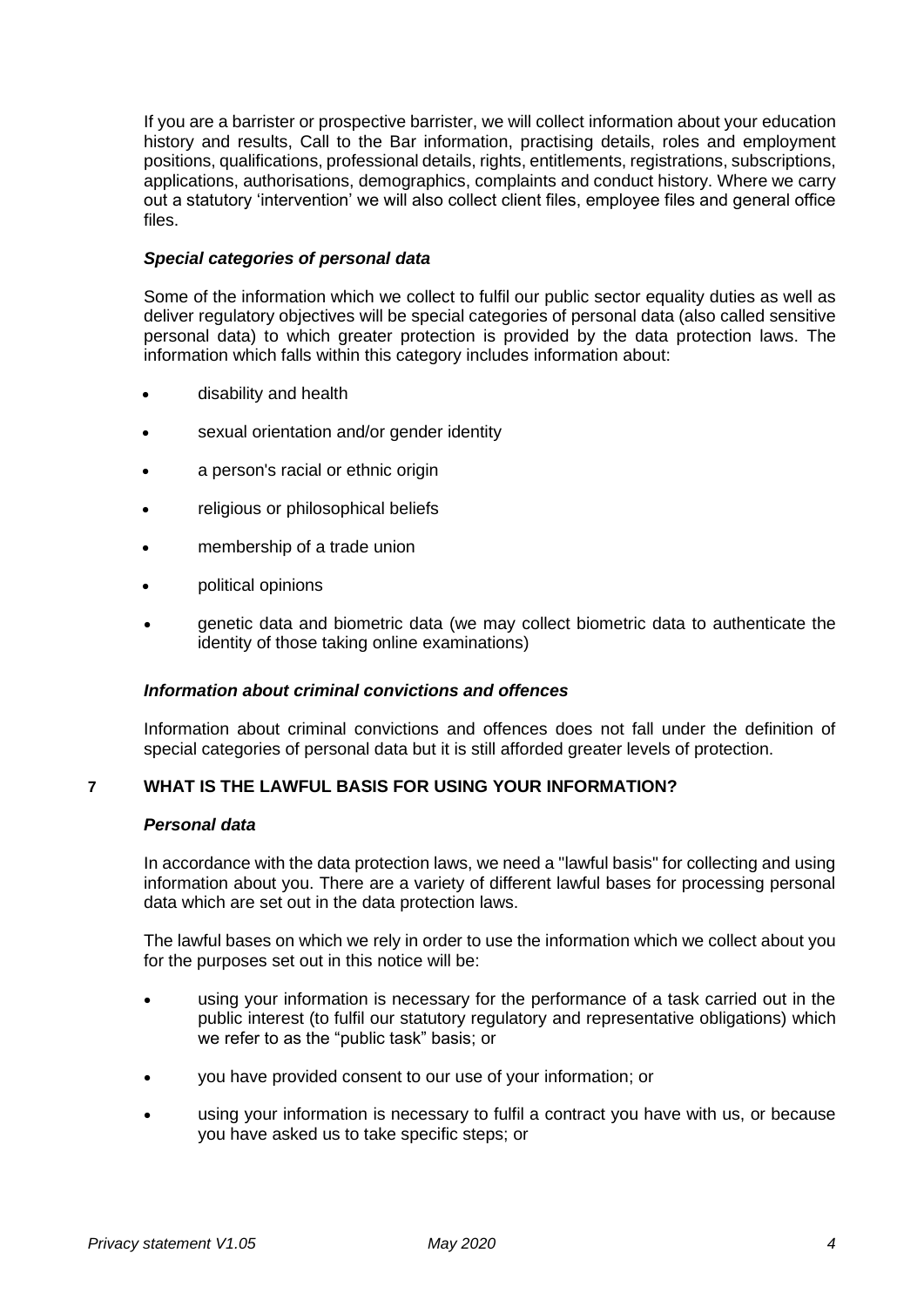If you are a barrister or prospective barrister, we will collect information about your education history and results, Call to the Bar information, practising details, roles and employment positions, qualifications, professional details, rights, entitlements, registrations, subscriptions, applications, authorisations, demographics, complaints and conduct history. Where we carry out a statutory 'intervention' we will also collect client files, employee files and general office files.

## *Special categories of personal data*

Some of the information which we collect to fulfil our public sector equality duties as well as deliver regulatory objectives will be special categories of personal data (also called sensitive personal data) to which greater protection is provided by the data protection laws. The information which falls within this category includes information about:

- disability and health
- sexual orientation and/or gender identity
- a person's racial or ethnic origin
- religious or philosophical beliefs
- membership of a trade union
- political opinions
- genetic data and biometric data (we may collect biometric data to authenticate the identity of those taking online examinations)

#### *Information about criminal convictions and offences*

Information about criminal convictions and offences does not fall under the definition of special categories of personal data but it is still afforded greater levels of protection.

## **7 WHAT IS THE LAWFUL BASIS FOR USING YOUR INFORMATION?**

#### *Personal data*

In accordance with the data protection laws, we need a "lawful basis" for collecting and using information about you. There are a variety of different lawful bases for processing personal data which are set out in the data protection laws.

The lawful bases on which we rely in order to use the information which we collect about you for the purposes set out in this notice will be:

- using your information is necessary for the performance of a task carried out in the public interest (to fulfil our statutory regulatory and representative obligations) which we refer to as the "public task" basis; or
- you have provided consent to our use of your information; or
- using your information is necessary to fulfil a contract you have with us, or because you have asked us to take specific steps; or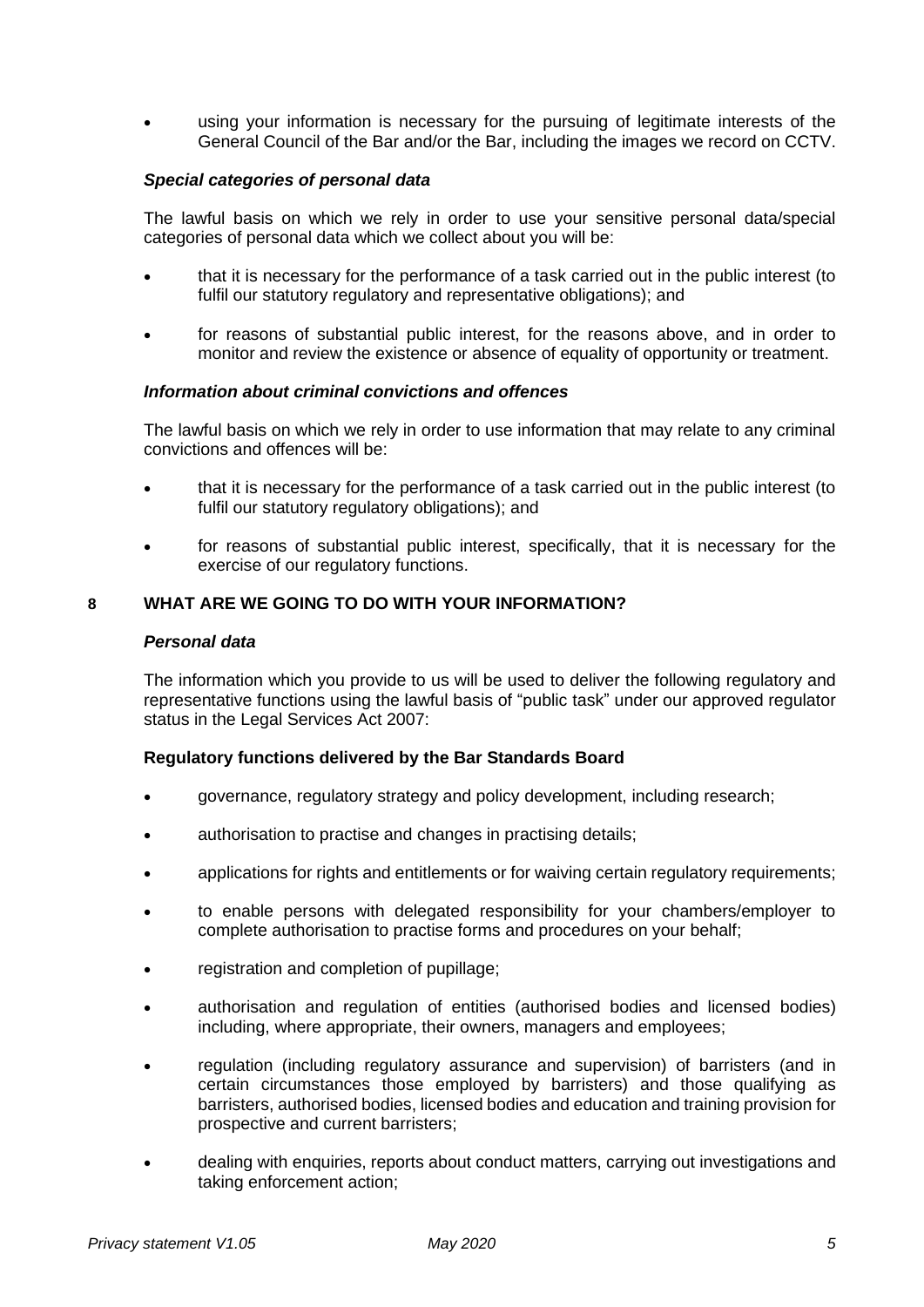• using your information is necessary for the pursuing of legitimate interests of the General Council of the Bar and/or the Bar, including the images we record on CCTV.

## *Special categories of personal data*

The lawful basis on which we rely in order to use your sensitive personal data/special categories of personal data which we collect about you will be:

- that it is necessary for the performance of a task carried out in the public interest (to fulfil our statutory regulatory and representative obligations); and
- for reasons of substantial public interest, for the reasons above, and in order to monitor and review the existence or absence of equality of opportunity or treatment.

#### *Information about criminal convictions and offences*

The lawful basis on which we rely in order to use information that may relate to any criminal convictions and offences will be:

- that it is necessary for the performance of a task carried out in the public interest (to fulfil our statutory regulatory obligations); and
- for reasons of substantial public interest, specifically, that it is necessary for the exercise of our regulatory functions.

## **8 WHAT ARE WE GOING TO DO WITH YOUR INFORMATION?**

#### *Personal data*

The information which you provide to us will be used to deliver the following regulatory and representative functions using the lawful basis of "public task" under our approved regulator status in the Legal Services Act 2007:

#### **Regulatory functions delivered by the Bar Standards Board**

- governance, regulatory strategy and policy development, including research;
- authorisation to practise and changes in practising details;
- applications for rights and entitlements or for waiving certain regulatory requirements;
- to enable persons with delegated responsibility for your chambers/employer to complete authorisation to practise forms and procedures on your behalf;
- registration and completion of pupillage;
- authorisation and regulation of entities (authorised bodies and licensed bodies) including, where appropriate, their owners, managers and employees;
- regulation (including regulatory assurance and supervision) of barristers (and in certain circumstances those employed by barristers) and those qualifying as barristers, authorised bodies, licensed bodies and education and training provision for prospective and current barristers;
- dealing with enquiries, reports about conduct matters, carrying out investigations and taking enforcement action;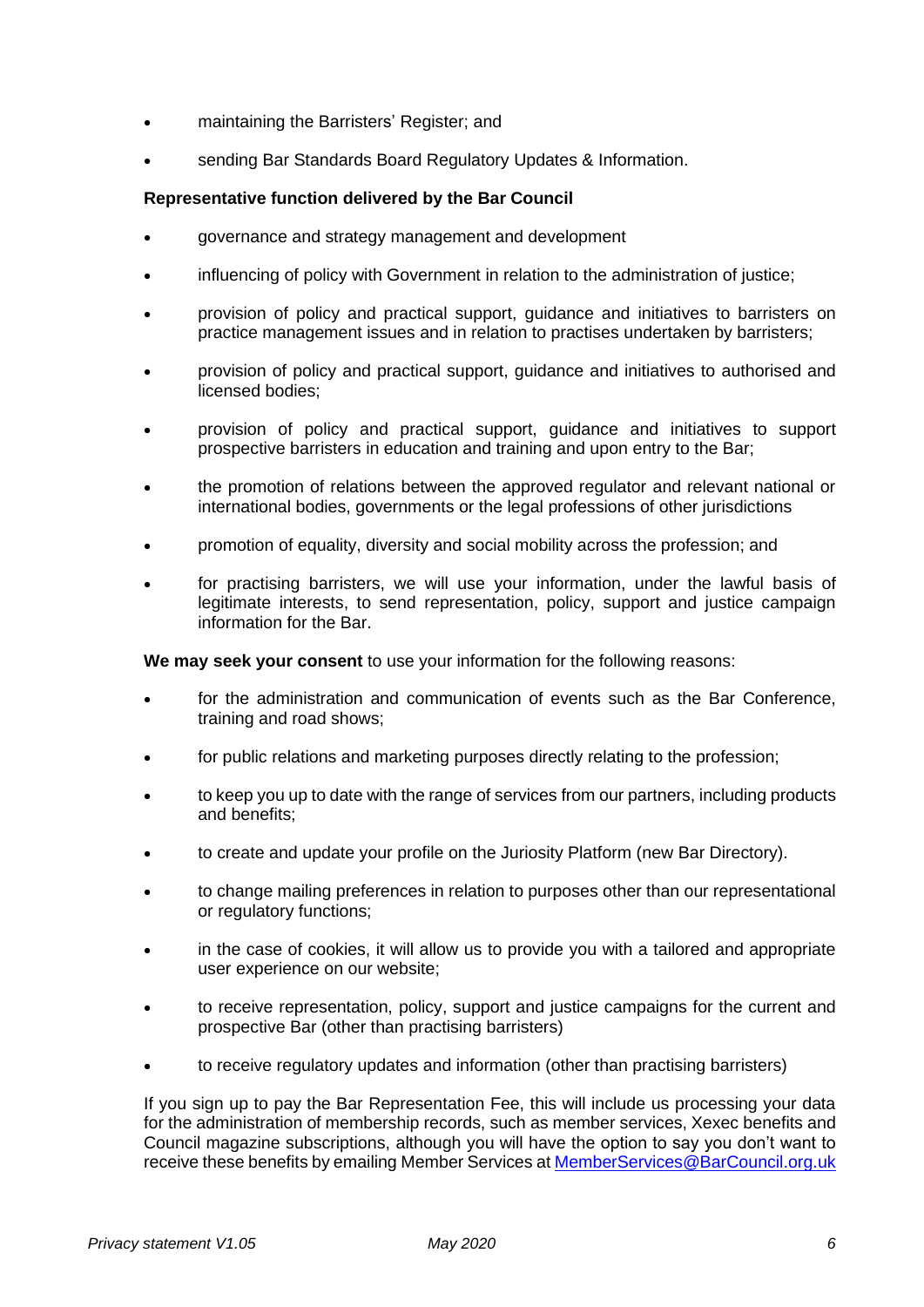- maintaining the Barristers' Register; and
- sending Bar Standards Board Regulatory Updates & Information.

## **Representative function delivered by the Bar Council**

- governance and strategy management and development
- influencing of policy with Government in relation to the administration of justice;
- provision of policy and practical support, guidance and initiatives to barristers on practice management issues and in relation to practises undertaken by barristers;
- provision of policy and practical support, guidance and initiatives to authorised and licensed bodies;
- provision of policy and practical support, guidance and initiatives to support prospective barristers in education and training and upon entry to the Bar;
- the promotion of relations between the approved regulator and relevant national or international bodies, governments or the legal professions of other jurisdictions
- promotion of equality, diversity and social mobility across the profession; and
- for practising barristers, we will use your information, under the lawful basis of legitimate interests, to send representation, policy, support and justice campaign information for the Bar.

**We may seek your consent** to use your information for the following reasons:

- for the administration and communication of events such as the Bar Conference, training and road shows;
- for public relations and marketing purposes directly relating to the profession;
- to keep you up to date with the range of services from our partners, including products and benefits;
- to create and update your profile on the Juriosity Platform (new Bar Directory).
- to change mailing preferences in relation to purposes other than our representational or regulatory functions;
- in the case of cookies, it will allow us to provide you with a tailored and appropriate user experience on our website;
- to receive representation, policy, support and justice campaigns for the current and prospective Bar (other than practising barristers)
- to receive regulatory updates and information (other than practising barristers)

If you sign up to pay the Bar Representation Fee, this will include us processing your data for the administration of membership records, such as member services, Xexec benefits and Council magazine subscriptions, although you will have the option to say you don't want to receive these benefits by emailing Member Services a[t MemberServices@BarCouncil.org.uk](mailto:MemberServices@BarCouncil.org.uk)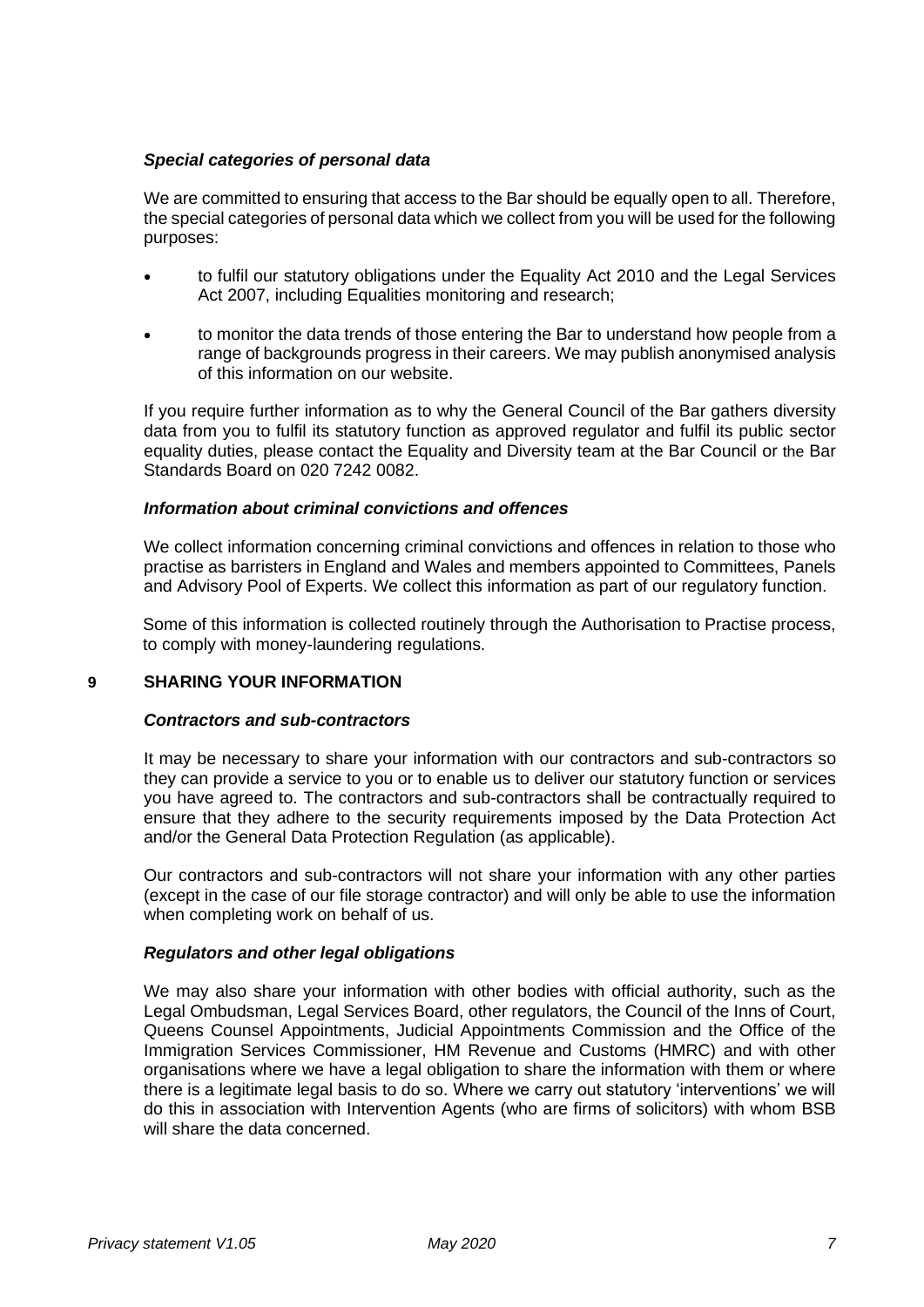## *Special categories of personal data*

We are committed to ensuring that access to the Bar should be equally open to all. Therefore, the special categories of personal data which we collect from you will be used for the following purposes:

- to fulfil our statutory obligations under the Equality Act 2010 and the Legal Services Act 2007, including Equalities monitoring and research;
- to monitor the data trends of those entering the Bar to understand how people from a range of backgrounds progress in their careers. We may publish anonymised analysis of this information on our website.

If you require further information as to why the General Council of the Bar gathers diversity data from you to fulfil its statutory function as approved regulator and fulfil its public sector equality duties, please contact the Equality and Diversity team at the Bar Council or the Bar Standards Board on 020 7242 0082.

### *Information about criminal convictions and offences*

We collect information concerning criminal convictions and offences in relation to those who practise as barristers in England and Wales and members appointed to Committees, Panels and Advisory Pool of Experts. We collect this information as part of our regulatory function.

Some of this information is collected routinely through the Authorisation to Practise process, to comply with money-laundering regulations.

#### **9 SHARING YOUR INFORMATION**

#### *Contractors and sub-contractors*

It may be necessary to share your information with our contractors and sub-contractors so they can provide a service to you or to enable us to deliver our statutory function or services you have agreed to. The contractors and sub-contractors shall be contractually required to ensure that they adhere to the security requirements imposed by the Data Protection Act and/or the General Data Protection Regulation (as applicable).

Our contractors and sub-contractors will not share your information with any other parties (except in the case of our file storage contractor) and will only be able to use the information when completing work on behalf of us.

## *Regulators and other legal obligations*

We may also share your information with other bodies with official authority, such as the Legal Ombudsman, Legal Services Board, other regulators, the Council of the Inns of Court, Queens Counsel Appointments, Judicial Appointments Commission and the Office of the Immigration Services Commissioner, HM Revenue and Customs (HMRC) and with other organisations where we have a legal obligation to share the information with them or where there is a legitimate legal basis to do so. Where we carry out statutory 'interventions' we will do this in association with Intervention Agents (who are firms of solicitors) with whom BSB will share the data concerned.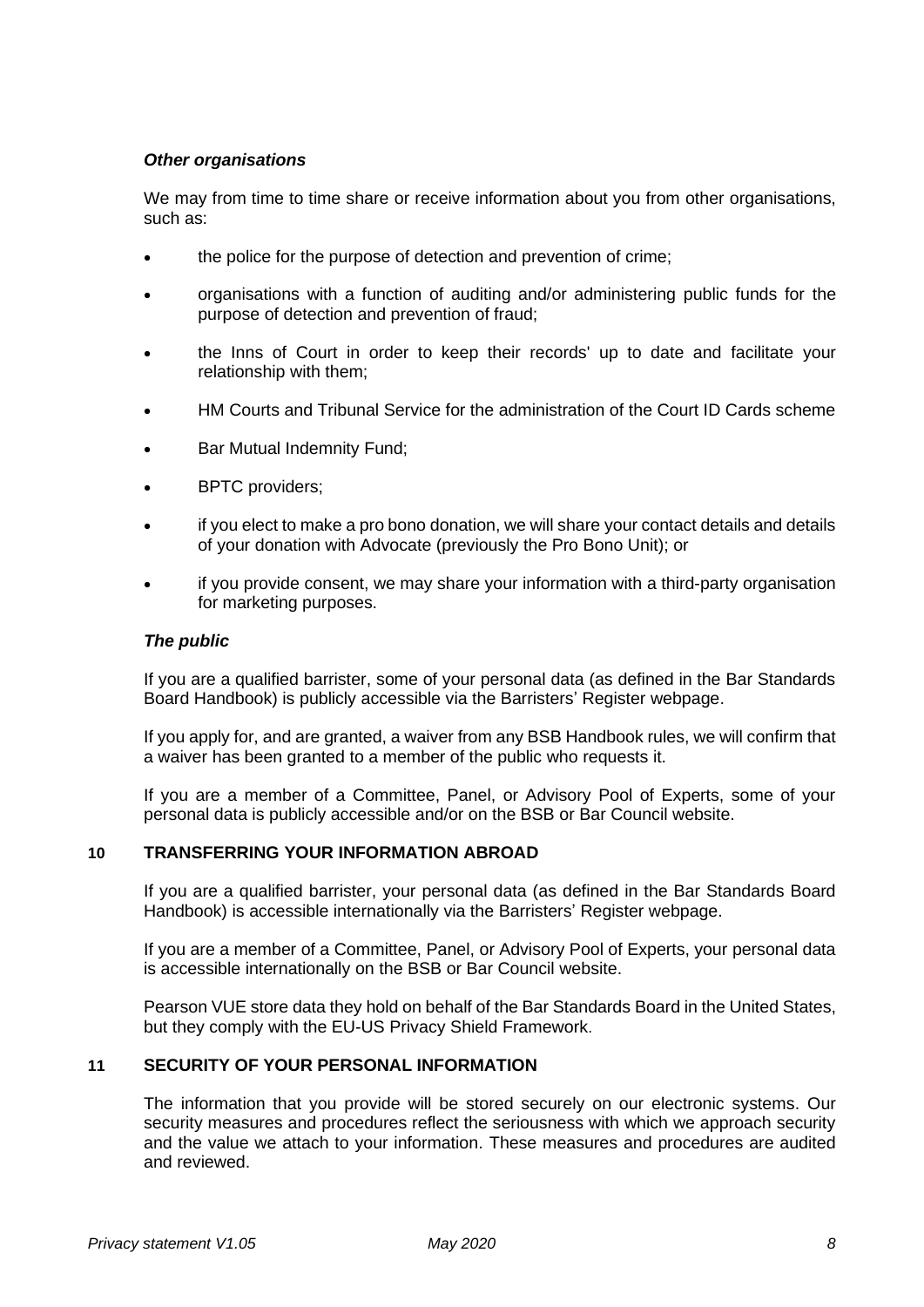# *Other organisations*

We may from time to time share or receive information about you from other organisations, such as:

- the police for the purpose of detection and prevention of crime:
- organisations with a function of auditing and/or administering public funds for the purpose of detection and prevention of fraud;
- the Inns of Court in order to keep their records' up to date and facilitate your relationship with them;
- HM Courts and Tribunal Service for the administration of the Court ID Cards scheme
- Bar Mutual Indemnity Fund;
- BPTC providers:
- if you elect to make a pro bono donation, we will share your contact details and details of your donation with Advocate (previously the Pro Bono Unit); or
- if you provide consent, we may share your information with a third-party organisation for marketing purposes.

#### *The public*

If you are a qualified barrister, some of your personal data (as defined in the Bar Standards Board Handbook) is publicly accessible via the Barristers' Register webpage.

If you apply for, and are granted, a waiver from any BSB Handbook rules, we will confirm that a waiver has been granted to a member of the public who requests it.

If you are a member of a Committee, Panel, or Advisory Pool of Experts, some of your personal data is publicly accessible and/or on the BSB or Bar Council website.

#### **10 TRANSFERRING YOUR INFORMATION ABROAD**

If you are a qualified barrister, your personal data (as defined in the Bar Standards Board Handbook) is accessible internationally via the Barristers' Register webpage.

If you are a member of a Committee, Panel, or Advisory Pool of Experts, your personal data is accessible internationally on the BSB or Bar Council website.

Pearson VUE store data they hold on behalf of the Bar Standards Board in the United States, but they comply with the EU-US Privacy Shield Framework.

### **11 SECURITY OF YOUR PERSONAL INFORMATION**

The information that you provide will be stored securely on our electronic systems. Our security measures and procedures reflect the seriousness with which we approach security and the value we attach to your information. These measures and procedures are audited and reviewed.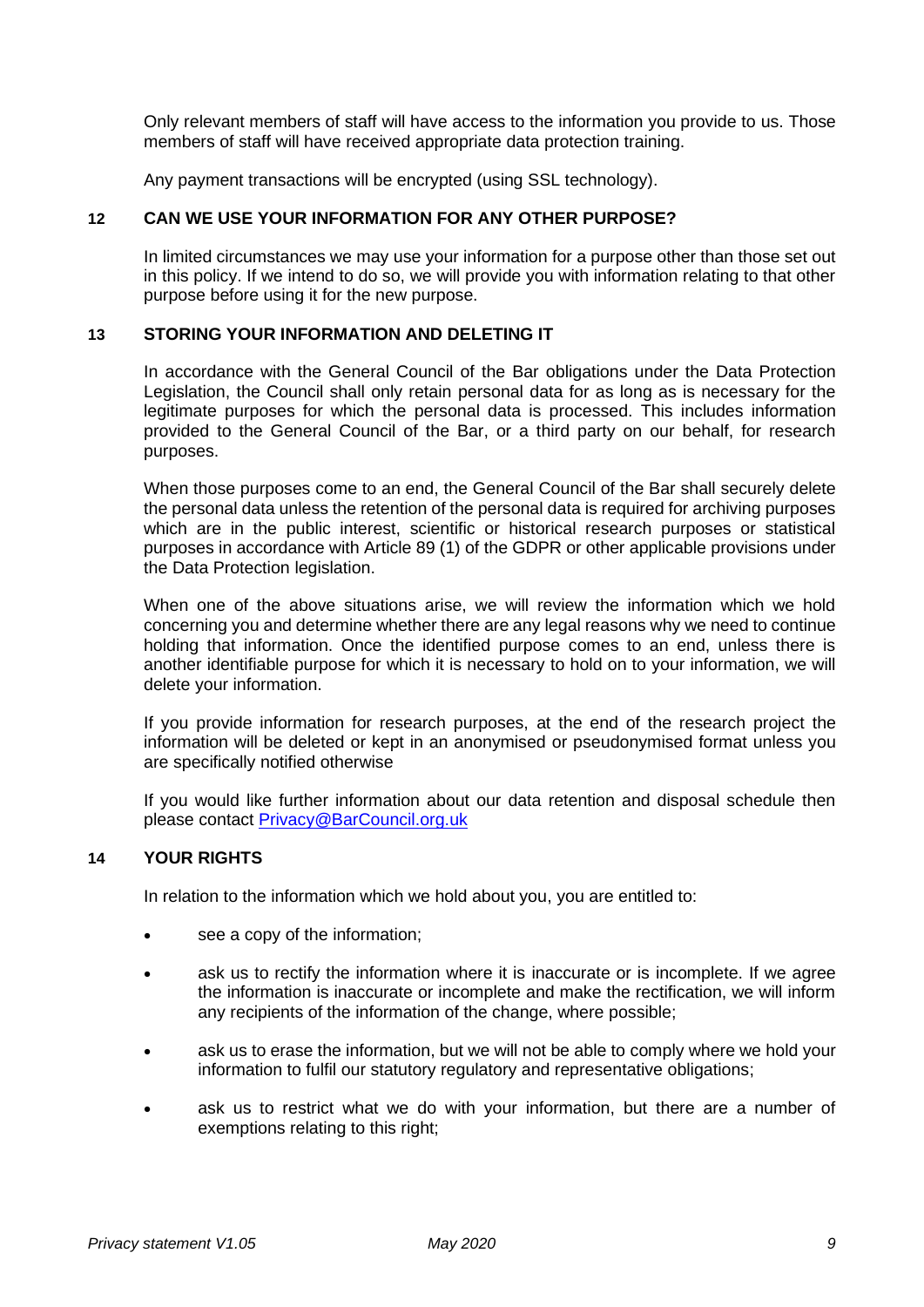Only relevant members of staff will have access to the information you provide to us. Those members of staff will have received appropriate data protection training.

Any payment transactions will be encrypted (using SSL technology).

### **12 CAN WE USE YOUR INFORMATION FOR ANY OTHER PURPOSE?**

In limited circumstances we may use your information for a purpose other than those set out in this policy. If we intend to do so, we will provide you with information relating to that other purpose before using it for the new purpose.

## **13 STORING YOUR INFORMATION AND DELETING IT**

In accordance with the General Council of the Bar obligations under the Data Protection Legislation, the Council shall only retain personal data for as long as is necessary for the legitimate purposes for which the personal data is processed. This includes information provided to the General Council of the Bar, or a third party on our behalf, for research purposes.

When those purposes come to an end, the General Council of the Bar shall securely delete the personal data unless the retention of the personal data is required for archiving purposes which are in the public interest, scientific or historical research purposes or statistical purposes in accordance with Article 89 (1) of the GDPR or other applicable provisions under the Data Protection legislation.

When one of the above situations arise, we will review the information which we hold concerning you and determine whether there are any legal reasons why we need to continue holding that information. Once the identified purpose comes to an end, unless there is another identifiable purpose for which it is necessary to hold on to your information, we will delete your information.

If you provide information for research purposes, at the end of the research project the information will be deleted or kept in an anonymised or pseudonymised format unless you are specifically notified otherwise

If you would like further information about our data retention and disposal schedule then please contact [Privacy@BarCouncil.org.uk](mailto:Privacy@BarCouncil.org.uk)

### **14 YOUR RIGHTS**

In relation to the information which we hold about you, you are entitled to:

- see a copy of the information;
- ask us to rectify the information where it is inaccurate or is incomplete. If we agree the information is inaccurate or incomplete and make the rectification, we will inform any recipients of the information of the change, where possible;
- ask us to erase the information, but we will not be able to comply where we hold your information to fulfil our statutory regulatory and representative obligations;
- ask us to restrict what we do with your information, but there are a number of exemptions relating to this right: